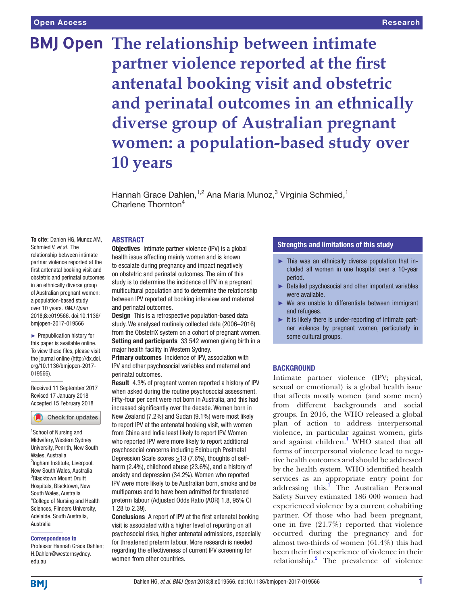# **BMJ Open The relationship between intimate partner violence reported at the first antenatal booking visit and obstetric and perinatal outcomes in an ethnically diverse group of Australian pregnant women: a population-based study over 10 years**

Hannah Grace Dahlen,<sup>1,2</sup> Ana Maria Munoz,<sup>3</sup> Virginia Schmied,<sup>1</sup> Charlene Thornton<sup>4</sup>

#### **ABSTRACT**

**To cite:** Dahlen HG, Munoz AM, Schmied V, *et al*. The relationship between intimate partner violence reported at the first antenatal booking visit and obstetric and perinatal outcomes in an ethnically diverse group of Australian pregnant women: a population-based study over 10 years. *BMJ Open* 2018;8:e019566. doi:10.1136/ bmjopen-2017-019566

► Prepublication history for this paper is available online. To view these files, please visit the journal online [\(http://dx.doi.](http://dx.doi.org/10.1136/bmjopen-2017-019566) [org/10.1136/bmjopen-2017-](http://dx.doi.org/10.1136/bmjopen-2017-019566) [019566\)](http://dx.doi.org/10.1136/bmjopen-2017-019566).

Received 11 September 2017 Revised 17 January 2018 Accepted 15 February 2018

Check for updates

<sup>1</sup>School of Nursing and Midwifery, Western Sydney University, Penrith, New South Wales, Australia <sup>2</sup>Ingham Institute, Liverpool, New South Wales, Australia 3 Blacktown Mount Druitt Hospitals, Blacktown, New South Wales, Australia 4 College of Nursing and Health Sciences, Flinders University, Adelaide, South Australia, Australia

#### Correspondence to

Professor Hannah Grace Dahlen; H.Dahlen@westernsydney. edu.au

Objectives Intimate partner violence (IPV) is a global health issue affecting mainly women and is known to escalate during pregnancy and impact negatively on obstetric and perinatal outcomes. The aim of this study is to determine the incidence of IPV in a pregnant multicultural population and to determine the relationship between IPV reported at booking interview and maternal and perinatal outcomes.

**Design** This is a retrospective population-based data study. We analysed routinely collected data (2006–2016) from the ObstetriX system on a cohort of pregnant women. Setting and participants 33 542 women giving birth in a major health facility in Western Sydney.

Primary outcomes Incidence of IPV, association with IPV and other psychosocial variables and maternal and perinatal outcomes.

Result 4.3% of pregnant women reported a history of IPV when asked during the routine psychosocial assessment. Fifty-four per cent were not born in Australia, and this had increased significantly over the decade. Women born in New Zealand (7.2%) and Sudan (9.1%) were most likely to report IPV at the antenatal booking visit, with women from China and India least likely to report IPV. Women who reported IPV were more likely to report additional psychosocial concerns including Edinburgh Postnatal Depression Scale scores  $\geq$  13 (7.6%), thoughts of selfharm (2.4%), childhood abuse (23.6%), and a history of anxiety and depression (34.2%). Women who reported IPV were more likely to be Australian born, smoke and be multiparous and to have been admitted for threatened preterm labour (Adjusted Odds Ratio (AOR) 1.8, 95% CI 1.28 to 2.39).

Conclusions A report of IPV at the first antenatal booking visit is associated with a higher level of reporting on all psychosocial risks, higher antenatal admissions, especially for threatened preterm labour. More research is needed regarding the effectiveness of current IPV screening for women from other countries.

# Strengths and limitations of this study

- ► This was an ethnically diverse population that included all women in one hospital over a 10-year period.
- ► Detailed psychosocial and other important variables were available.
- ► We are unable to differentiate between immigrant and refugees.
- $\blacktriangleright$  It is likely there is under-reporting of intimate partner violence by pregnant women, particularly in some cultural groups.

#### **BACKGROUND**

Intimate partner violence (IPV; physical, sexual or emotional) is a global health issue that affects mostly women (and some men) from different backgrounds and social groups. In 2016, the WHO released a global plan of action to address interpersonal violence, in particular against women, girls and against children.<sup>1</sup> WHO stated that all forms of interpersonal violence lead to negative health outcomes and should be addressed by the health system. WHO identified health services as an appropriate entry point for addressing this.<sup>[1](#page-9-0)</sup> The Australian Personal Safety Survey estimated 186 000 women had experienced violence by a current cohabiting partner. Of those who had been pregnant, one in five (21.7%) reported that violence occurred during the pregnancy and for almost two-thirds of women (61.4%) this had been their first experience of violence in their relationship.<sup>2</sup> The prevalence of violence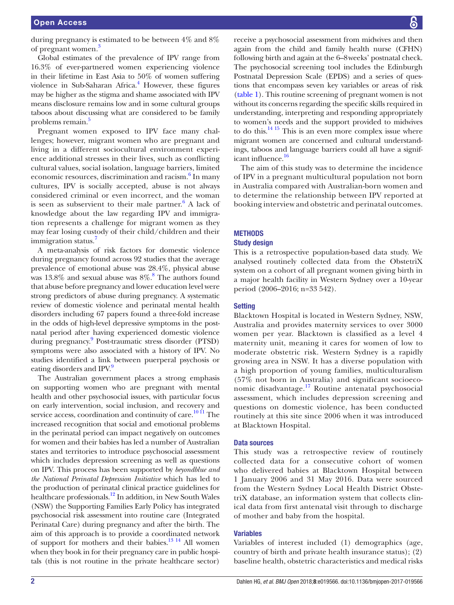during pregnancy is estimated to be between 4% and 8% of pregnant women.<sup>[3](#page-9-2)</sup>

Global estimates of the prevalence of IPV range from 16.3% of ever-partnered women experiencing violence in their lifetime in East Asia to 50% of women suffering violence in Sub-Saharan Africa.<sup>[4](#page-9-3)</sup> However, these figures may be higher as the stigma and shame associated with IPV means disclosure remains low and in some cultural groups taboos about discussing what are considered to be family problems remain.<sup>5</sup>

Pregnant women exposed to IPV face many challenges; however, migrant women who are pregnant and living in a different sociocultural environment experience additional stresses in their lives, such as conflicting cultural values, social isolation, language barriers, limited economic resources, discrimination and racism.<sup>[6](#page-9-5)</sup> In many cultures, IPV is socially accepted, abuse is not always considered criminal or even incorrect, and the woman is seen as subservient to their male partner. $6$  A lack of knowledge about the law regarding IPV and immigration represents a challenge for migrant women as they may fear losing custody of their child/children and their immigration status.<sup>[7](#page-9-6)</sup>

A meta-analysis of risk factors for domestic violence during pregnancy found across 92 studies that the average prevalence of emotional abuse was 28.4%, physical abuse was  $13.8\%$  $13.8\%$  $13.8\%$  and sexual abuse was  $8\%.$ <sup>8</sup> The authors found that abuse before pregnancy and lower education level were strong predictors of abuse during pregnancy. A systematic review of domestic violence and perinatal mental health disorders including 67 papers found a three-fold increase in the odds of high-level depressive symptoms in the postnatal period after having experienced domestic violence during pregnancy.<sup>9</sup> Post-traumatic stress disorder (PTSD) symptoms were also associated with a history of IPV. No studies identified a link between puerperal psychosis or eating disorders and IPV.<sup>9</sup>

The Australian government places a strong emphasis on supporting women who are pregnant with mental health and other psychosocial issues, with particular focus on early intervention, social inclusion, and recovery and service access, coordination and continuity of care.<sup>10 11</sup> The increased recognition that social and emotional problems in the perinatal period can impact negatively on outcomes for women and their babies has led a number of Australian states and territories to introduce psychosocial assessment which includes depression screening as well as questions on IPV. This process has been supported by *beyondblue and the National Perinatal Depression Initiative* which has led to the production of perinatal clinical practice guidelines for healthcare professionals.<sup>12</sup> In addition, in New South Wales (NSW) the Supporting Families Early Policy has integrated psychosocial risk assessment into routine care (Integrated Perinatal Care) during pregnancy and after the birth. The aim of this approach is to provide a coordinated network of support for mothers and their babies.<sup>13 14</sup> All women when they book in for their pregnancy care in public hospitals (this is not routine in the private healthcare sector)

receive a psychosocial assessment from midwives and then again from the child and family health nurse (CFHN) following birth and again at the 6–8weeks' postnatal check. The psychosocial screening tool includes the Edinburgh Postnatal Depression Scale (EPDS) and a series of questions that encompass seven key variables or areas of risk [\(table](#page-2-0) 1). This routine screening of pregnant women is not without its concerns regarding the specific skills required in understanding, interpreting and responding appropriately to women's needs and the support provided to midwives to do this[.14 15](#page-9-12) This is an even more complex issue where migrant women are concerned and cultural understandings, taboos and language barriers could all have a significant influence.<sup>16</sup>

The aim of this study was to determine the incidence of IPV in a pregnant multicultural population not born in Australia compared with Australian-born women and to determine the relationship between IPV reported at booking interview and obstetric and perinatal outcomes.

### **METHODS**

#### Study design

This is a retrospective population-based data study. We analysed routinely collected data from the ObstetriX system on a cohort of all pregnant women giving birth in a major health facility in Western Sydney over a 10-year period (2006–2016; n=33 542).

#### **Setting**

Blacktown Hospital is located in Western Sydney, NSW, Australia and provides maternity services to over 3000 women per year. Blacktown is classified as a level 4 maternity unit, meaning it cares for women of low to moderate obstetric risk. Western Sydney is a rapidly growing area in NSW. It has a diverse population with a high proportion of young families, multiculturalism (57% not born in Australia) and significant socioeconomic disadvantage.[17](#page-9-14) Routine antenatal psychosocial assessment, which includes depression screening and questions on domestic violence, has been conducted routinely at this site since 2006 when it was introduced at Blacktown Hospital.

### Data sources

This study was a retrospective review of routinely collected data for a consecutive cohort of women who delivered babies at Blacktown Hospital between 1 January 2006 and 31 May 2016. Data were sourced from the Western Sydney Local Health District ObstetriX database, an information system that collects clinical data from first antenatal visit through to discharge of mother and baby from the hospital.

#### Variables

Variables of interest included (1) demographics (age, country of birth and private health insurance status); (2) baseline health, obstetric characteristics and medical risks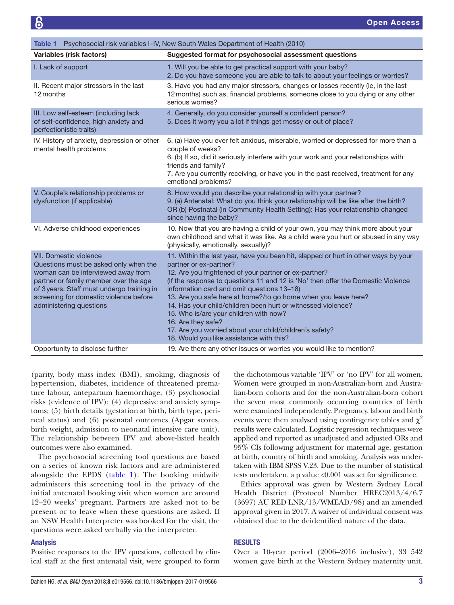<span id="page-2-0"></span>

| Table 1 Psychosocial risk variables I-IV, New South Wales Department of Health (2010)                                                                                                                                                                                    |                                                                                                                                                                                                                                                                                                                                                                                                                                                                                                                                                                                                                  |  |  |
|--------------------------------------------------------------------------------------------------------------------------------------------------------------------------------------------------------------------------------------------------------------------------|------------------------------------------------------------------------------------------------------------------------------------------------------------------------------------------------------------------------------------------------------------------------------------------------------------------------------------------------------------------------------------------------------------------------------------------------------------------------------------------------------------------------------------------------------------------------------------------------------------------|--|--|
| Variables (risk factors)                                                                                                                                                                                                                                                 | Suggested format for psychosocial assessment questions                                                                                                                                                                                                                                                                                                                                                                                                                                                                                                                                                           |  |  |
| I. Lack of support                                                                                                                                                                                                                                                       | 1. Will you be able to get practical support with your baby?<br>2. Do you have someone you are able to talk to about your feelings or worries?                                                                                                                                                                                                                                                                                                                                                                                                                                                                   |  |  |
| II. Recent major stressors in the last<br>12 months                                                                                                                                                                                                                      | 3. Have you had any major stressors, changes or losses recently (ie, in the last<br>12 months) such as, financial problems, someone close to you dying or any other<br>serious worries?                                                                                                                                                                                                                                                                                                                                                                                                                          |  |  |
| III. Low self-esteem (including lack<br>of self-confidence, high anxiety and<br>perfectionistic traits)                                                                                                                                                                  | 4. Generally, do you consider yourself a confident person?<br>5. Does it worry you a lot if things get messy or out of place?                                                                                                                                                                                                                                                                                                                                                                                                                                                                                    |  |  |
| IV. History of anxiety, depression or other<br>mental health problems                                                                                                                                                                                                    | 6. (a) Have you ever felt anxious, miserable, worried or depressed for more than a<br>couple of weeks?<br>6. (b) If so, did it seriously interfere with your work and your relationships with<br>friends and family?<br>7. Are you currently receiving, or have you in the past received, treatment for any<br>emotional problems?                                                                                                                                                                                                                                                                               |  |  |
| V. Couple's relationship problems or<br>dysfunction (if applicable)                                                                                                                                                                                                      | 8. How would you describe your relationship with your partner?<br>9. (a) Antenatal: What do you think your relationship will be like after the birth?<br>OR (b) Postnatal (in Community Health Setting): Has your relationship changed<br>since having the baby?                                                                                                                                                                                                                                                                                                                                                 |  |  |
| VI. Adverse childhood experiences                                                                                                                                                                                                                                        | 10. Now that you are having a child of your own, you may think more about your<br>own childhood and what it was like. As a child were you hurt or abused in any way<br>(physically, emotionally, sexually)?                                                                                                                                                                                                                                                                                                                                                                                                      |  |  |
| <b>VII. Domestic violence</b><br>Questions must be asked only when the<br>woman can be interviewed away from<br>partner or family member over the age<br>of 3 years. Staff must undergo training in<br>screening for domestic violence before<br>administering questions | 11. Within the last year, have you been hit, slapped or hurt in other ways by your<br>partner or ex-partner?<br>12. Are you frightened of your partner or ex-partner?<br>(If the response to questions 11 and 12 is 'No' then offer the Domestic Violence<br>information card and omit questions 13-18)<br>13. Are you safe here at home?/to go home when you leave here?<br>14. Has your child/children been hurt or witnessed violence?<br>15. Who is/are your children with now?<br>16. Are they safe?<br>17. Are you worried about your child/children's safety?<br>18. Would you like assistance with this? |  |  |
| Opportunity to disclose further                                                                                                                                                                                                                                          | 19. Are there any other issues or worries you would like to mention?                                                                                                                                                                                                                                                                                                                                                                                                                                                                                                                                             |  |  |

(parity, body mass index (BMI), smoking, diagnosis of hypertension, diabetes, incidence of threatened premature labour, antepartum haemorrhage; (3) psychosocial risks (evidence of IPV); (4) depressive and anxiety symptoms; (5) birth details (gestation at birth, birth type, perineal status) and (6) postnatal outcomes (Apgar scores, birth weight, admission to neonatal intensive care unit). The relationship between IPV and above-listed health outcomes were also examined.

The psychosocial screening tool questions are based on a series of known risk factors and are administered alongside the EPDS ([table](#page-2-0) 1). The booking midwife administers this screening tool in the privacy of the initial antenatal booking visit when women are around 12–20 weeks' pregnant. Partners are asked not to be present or to leave when these questions are asked. If an NSW Health Interpreter was booked for the visit, the questions were asked verbally via the interpreter.

#### Analysis

Positive responses to the IPV questions, collected by clinical staff at the first antenatal visit, were grouped to form

the dichotomous variable 'IPV' or 'no IPV' for all women. Women were grouped in non-Australian-born and Australian-born cohorts and for the non-Australian-born cohort the seven most commonly occurring countries of birth were examined independently. Pregnancy, labour and birth events were then analysed using contingency tables and  $\chi^2$ results were calculated. Logistic regression techniques were applied and reported as unadjusted and adjusted ORs and 95% CIs following adjustment for maternal age, gestation at birth, country of birth and smoking. Analysis was undertaken with IBM SPSS V.23. Due to the number of statistical tests undertaken, a p value <0.001 was set for significance.

Ethics approval was given by Western Sydney Local Health District (Protocol Number HREC2013/4/6.7 (3697) AU RED LNR/13/WMEAD/98) and an amended approval given in 2017. A waiver of individual consent was obtained due to the deidentified nature of the data.

#### **RESULTS**

Over a 10-year period (2006–2016 inclusive), 33 542 women gave birth at the Western Sydney maternity unit.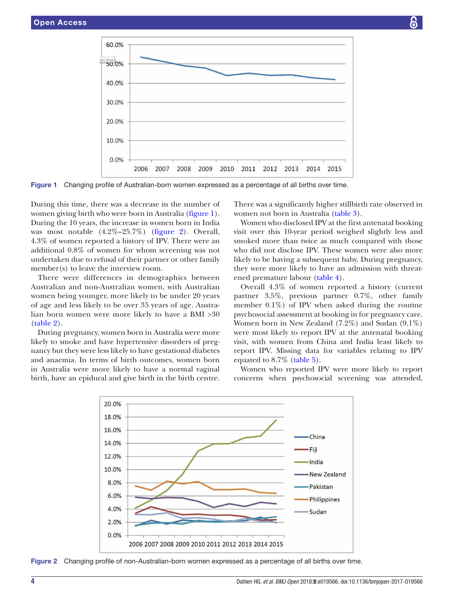

Figure 1 Changing profile of Australian-born women expressed as a percentage of all births over time.

During this time, there was a decrease in the number of women giving birth who were born in Australia [\(figure](#page-3-0) 1). During the 10 years, the increase in women born in India was most notable (4.2%–25.7%) ([figure](#page-3-1) 2). Overall, 4.3% of women reported a history of IPV. There were an additional 0.8% of women for whom screening was not undertaken due to refusal of their partner or other family member(s) to leave the interview room.

There were differences in demographics between Australian and non-Australian women, with Australian women being younger, more likely to be under 20 years of age and less likely to be over 35 years of age. Australian born women were more likely to have a BMI >30 ([table](#page-4-0) 2).

During pregnancy, women born in Australia were more likely to smoke and have hypertensive disorders of pregnancy but they were less likely to have gestational diabetes and anaemia. In terms of birth outcomes, women born in Australia were more likely to have a normal vaginal birth, have an epidural and give birth in the birth centre.

<span id="page-3-0"></span>There was a significantly higher stillbirth rate observed in women not born in Australia [\(table](#page-5-0) 3).

Women who disclosed IPV at the first antenatal booking visit over this 10-year period weighed slightly less and smoked more than twice as much compared with those who did not disclose IPV. These women were also more likely to be having a subsequent baby. During pregnancy, they were more likely to have an admission with threatened premature labour ([table](#page-6-0) 4).

Overall 4.3% of women reported a history (current partner 3.5%, previous partner 0.7%, other family member 0.1%) of IPV when asked during the routine psychosocial assessment at booking in for pregnancy care. Women born in New Zealand (7.2%) and Sudan (9.1%) were most likely to report IPV at the antenatal booking visit, with women from China and India least likely to report IPV. Missing data for variables relating to IPV equated to 8.7% [\(table](#page-6-1) 5).

Women who reported IPV were more likely to report concerns when psychosocial screening was attended,



<span id="page-3-1"></span>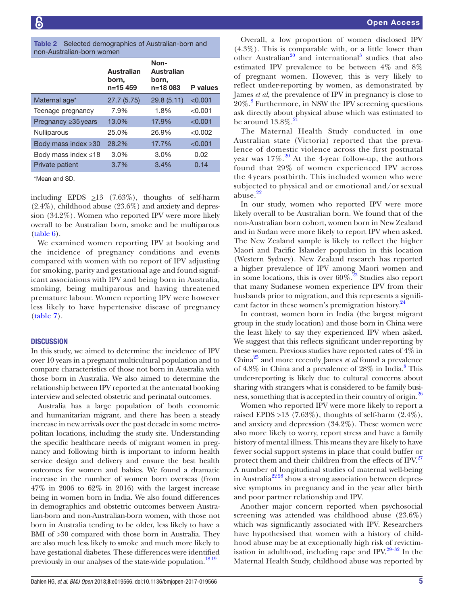<span id="page-4-0"></span>

|                           |  | Table 2 Selected demographics of Australian-born and |
|---------------------------|--|------------------------------------------------------|
| non-Australian-born women |  |                                                      |

| Australian<br>born,<br>n=15459 | Non-<br>Australian<br>born.<br>n=18 083 | <b>P</b> values |
|--------------------------------|-----------------------------------------|-----------------|
| 27.7(5.75)                     | 29.8(5.11)                              | < 0.001         |
| 7.9%                           | 1.8%                                    | < 0.001         |
| 13.0%                          | 17.9%                                   | < 0.001         |
| 25.0%                          | 26.9%                                   | < 0.002         |
| 28.2%                          | 17.7%                                   | < 0.001         |
| $3.0\%$                        | 3.0%                                    | 0.02            |
| 3.7%                           | 3.4%                                    | 0.14            |
|                                |                                         |                 |

\*Mean and SD.

including EPDS  $\geq$ 13 (7.63%), thoughts of self-harm (2.4%), childhood abuse (23.6%) and anxiety and depression (34.2%). Women who reported IPV were more likely overall to be Australian born, smoke and be multiparous ([table](#page-7-0) 6).

We examined women reporting IPV at booking and the incidence of pregnancy conditions and events compared with women with no report of IPV adjusting for smoking, parity and gestational age and found significant associations with IPV and being born in Australia, smoking, being multiparous and having threatened premature labour. Women reporting IPV were however less likely to have hypertensive disease of pregnancy ([table](#page-7-1) 7).

#### **DISCUSSION**

In this study, we aimed to determine the incidence of IPV over 10 years in a pregnant multicultural population and to compare characteristics of those not born in Australia with those born in Australia. We also aimed to determine the relationship between IPV reported at the antenatal booking interview and selected obstetric and perinatal outcomes.

Australia has a large population of both economic and humanitarian migrant, and there has been a steady increase in new arrivals over the past decade in some metropolitan locations, including the study site. Understanding the specific healthcare needs of migrant women in pregnancy and following birth is important to inform health service design and delivery and ensure the best health outcomes for women and babies. We found a dramatic increase in the number of women born overseas (from 47% in 2006 to 62% in 2016) with the largest increase being in women born in India. We also found differences in demographics and obstetric outcomes between Australian-born and non-Australian-born women, with those not born in Australia tending to be older, less likely to have a BMI of  $\geq 30$  compared with those born in Australia. They are also much less likely to smoke and much more likely to have gestational diabetes. These differences were identified previously in our analyses of the state-wide population.<sup>18 19</sup>

Overall, a low proportion of women disclosed IPV (4.3%). This is comparable with, or a little lower than other Australian<sup>20</sup> and international<sup>[3](#page-9-2)</sup> studies that also estimated IPV prevalence to be between 4% and 8% of pregnant women. However, this is very likely to reflect under-reporting by women, as demonstrated by James *et al*, the prevalence of IPV in pregnancy is close to 20%.[8](#page-9-7) Furthermore, in NSW the IPV screening questions ask directly about physical abuse which was estimated to be around  $13.8\%$ .

The Maternal Health Study conducted in one Australian state (Victoria) reported that the prevalence of domestic violence across the first postnatal year was  $17\%$ .<sup>20</sup> At the 4-year follow-up, the authors found that 29% of women experienced IPV across the 4 years postbirth. This included women who were subjected to physical and or emotional and/or sexual abuse.<sup>[22](#page-9-18)</sup>

In our study, women who reported IPV were more likely overall to be Australian born. We found that of the non-Australian born cohort, women born in New Zealand and in Sudan were more likely to report IPV when asked. The New Zealand sample is likely to reflect the higher Maori and Pacific Islander population in this location (Western Sydney). New Zealand research has reported a higher prevalence of IPV among Maori women and in some locations, this is over  $60\%$ .<sup>[23](#page-9-19)</sup> Studies also report that many Sudanese women experience IPV from their husbands prior to migration, and this represents a significant factor in these women's premigration history. $24$ 

In contrast, women born in India (the largest migrant group in the study location) and those born in China were the least likely to say they experienced IPV when asked. We suggest that this reflects significant under-reporting by these women. Previous studies have reported rates of 4% in China[25](#page-9-21) and more recently James *et al* found a prevalence of 4.[8](#page-9-7)% in China and a prevalence of 28% in India.<sup>8</sup> This under-reporting is likely due to cultural concerns about sharing with strangers what is considered to be family business, something that is accepted in their country of origin.<sup>26</sup>

Women who reported IPV were more likely to report a raised EPDS  $\geq$ 13 (7.63%), thoughts of self-harm (2.4%), and anxiety and depression (34.2%). These women were also more likely to worry, report stress and have a family history of mental illness. This means they are likely to have fewer social support systems in place that could buffer or protect them and their children from the effects of IPV.<sup>[27](#page-9-23)</sup> A number of longitudinal studies of maternal well-being in Australia<sup>22 28</sup> show a strong association between depressive symptoms in pregnancy and in the year after birth and poor partner relationship and IPV.

Another major concern reported when psychosocial screening was attended was childhood abuse (23.6%) which was significantly associated with IPV. Researchers have hypothesised that women with a history of childhood abuse may be at exceptionally high risk of revictimisation in adulthood, including rape and IPV[.29–32](#page-9-24) In the Maternal Health Study, childhood abuse was reported by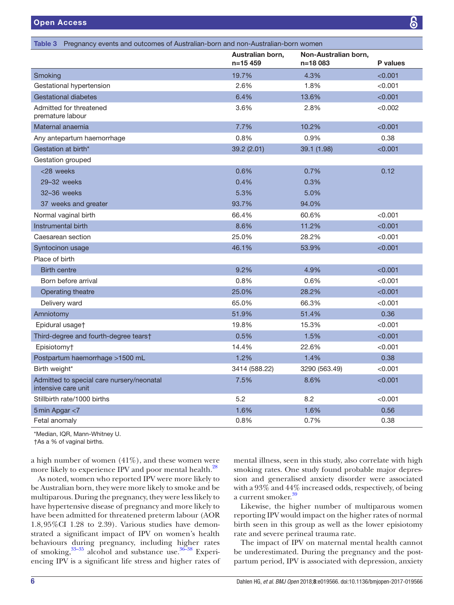<span id="page-5-0"></span>

| Table 3 Pregnancy events and outcomes of Australian-born and non-Australian-born women |                                 |                                  |          |  |  |
|----------------------------------------------------------------------------------------|---------------------------------|----------------------------------|----------|--|--|
|                                                                                        | Australian born,<br>$n = 15459$ | Non-Australian born,<br>n=18 083 | P values |  |  |
| Smoking                                                                                | 19.7%                           | 4.3%                             | < 0.001  |  |  |
| Gestational hypertension                                                               | 2.6%                            | 1.8%                             | < 0.001  |  |  |
| <b>Gestational diabetes</b>                                                            | 6.4%                            | 13.6%                            | < 0.001  |  |  |
| Admitted for threatened<br>premature labour                                            | 3.6%                            | 2.8%                             | < 0.002  |  |  |
| Maternal anaemia                                                                       | 7.7%                            | 10.2%                            | < 0.001  |  |  |
| Any antepartum haemorrhage                                                             | 0.8%                            | 0.9%                             | 0.38     |  |  |
| Gestation at birth*                                                                    | 39.2 (2.01)                     | 39.1 (1.98)                      | < 0.001  |  |  |
| Gestation grouped                                                                      |                                 |                                  |          |  |  |
| <28 weeks                                                                              | 0.6%                            | 0.7%                             | 0.12     |  |  |
| 29-32 weeks                                                                            | 0.4%                            | 0.3%                             |          |  |  |
| 32-36 weeks                                                                            | 5.3%                            | 5.0%                             |          |  |  |
| 37 weeks and greater                                                                   | 93.7%                           | 94.0%                            |          |  |  |
| Normal vaginal birth                                                                   | 66.4%                           | 60.6%                            | < 0.001  |  |  |
| Instrumental birth                                                                     | 8.6%                            | 11.2%                            | < 0.001  |  |  |
| Caesarean section                                                                      | 25.0%                           | 28.2%                            | < 0.001  |  |  |
| Syntocinon usage                                                                       | 46.1%                           | 53.9%                            | < 0.001  |  |  |
| Place of birth                                                                         |                                 |                                  |          |  |  |
| <b>Birth centre</b>                                                                    | 9.2%                            | 4.9%                             | < 0.001  |  |  |
| Born before arrival                                                                    | 0.8%                            | 0.6%                             | < 0.001  |  |  |
| Operating theatre                                                                      | 25.0%                           | 28.2%                            | < 0.001  |  |  |
| Delivery ward                                                                          | 65.0%                           | 66.3%                            | < 0.001  |  |  |
| Amniotomy                                                                              | 51.9%                           | 51.4%                            | 0.36     |  |  |
| Epidural usage†                                                                        | 19.8%                           | 15.3%                            | < 0.001  |  |  |
| Third-degree and fourth-degree tears†                                                  | 0.5%                            | 1.5%                             | < 0.001  |  |  |
| Episiotomy†                                                                            | 14.4%                           | 22.6%                            | < 0.001  |  |  |
| Postpartum haemorrhage >1500 mL                                                        | 1.2%                            | 1.4%                             | 0.38     |  |  |
| Birth weight*                                                                          | 3414 (588.22)                   | 3290 (563.49)                    | < 0.001  |  |  |
| Admitted to special care nursery/neonatal<br>intensive care unit                       | 7.5%                            | 8.6%                             | < 0.001  |  |  |
| Stillbirth rate/1000 births                                                            | 5.2                             | 8.2                              | < 0.001  |  |  |
| 5 min Apgar <7                                                                         | 1.6%                            | 1.6%                             | 0.56     |  |  |
| Fetal anomaly                                                                          | 0.8%                            | 0.7%                             | 0.38     |  |  |

\*Median, IQR, Mann-Whitney U.

†As a % of vaginal births.

a high number of women  $(41\%)$ , and these women were more likely to experience IPV and poor mental health.<sup>[28](#page-9-25)</sup>

As noted, women who reported IPV were more likely to be Australian born, they were more likely to smoke and be multiparous. During the pregnancy, they were less likely to have hypertensive disease of pregnancy and more likely to have been admitted for threatened preterm labour (AOR 1.8,95%CI 1.28 to 2.39). Various studies have demonstrated a significant impact of IPV on women's health behaviours during pregnancy, including higher rates of smoking,[33–35](#page-9-26) alcohol and substance use.[36–38](#page-9-27) Experiencing IPV is a significant life stress and higher rates of mental illness, seen in this study, also correlate with high smoking rates. One study found probable major depression and generalised anxiety disorder were associated with a 93% and 44% increased odds, respectively, of being a current smoker.<sup>39</sup>

Likewise, the higher number of multiparous women reporting IPV would impact on the higher rates of normal birth seen in this group as well as the lower episiotomy rate and severe perineal trauma rate.

The impact of IPV on maternal mental health cannot be underestimated. During the pregnancy and the postpartum period, IPV is associated with depression, anxiety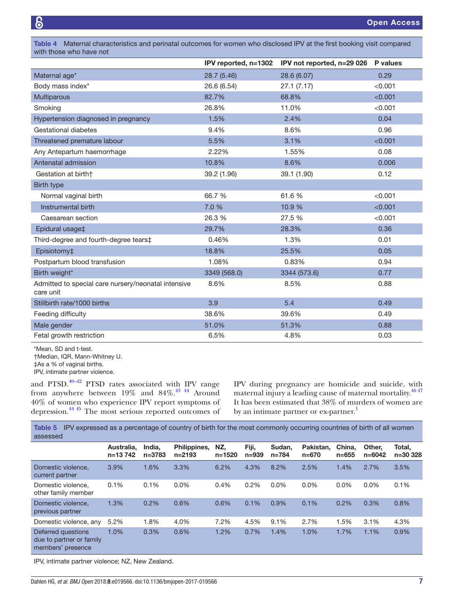<span id="page-6-0"></span>Table 4 Maternal characteristics and perinatal outcomes for women who disclosed IPV at the first booking visit compared with those who have not

|                                                                  |              | IPV reported, n=1302 IPV not reported, n=29 026 P values |         |
|------------------------------------------------------------------|--------------|----------------------------------------------------------|---------|
| Maternal age*                                                    | 28.7 (5.46)  | 28.6 (6.07)                                              | 0.29    |
| Body mass index*                                                 | 26.6 (6.54)  | 27.1(7.17)                                               | < 0.001 |
| Multiparous                                                      | 82.7%        | 68.8%                                                    | < 0.001 |
| Smoking                                                          | 26.8%        | 11.0%                                                    | < 0.001 |
| Hypertension diagnosed in pregnancy                              | 1.5%         | 2.4%                                                     | 0.04    |
| Gestational diabetes                                             | 9.4%         | 8.6%                                                     | 0.96    |
| Threatened premature labour                                      | 5.5%         | 3.1%                                                     | < 0.001 |
| Any Antepartum haemorrhage                                       | 2.22%        | 1.55%                                                    | 0.08    |
| Antenatal admission                                              | 10.8%        | 8.6%                                                     | 0.006   |
| Gestation at birth†                                              | 39.2 (1.96)  | 39.1 (1.90)                                              | 0.12    |
| <b>Birth type</b>                                                |              |                                                          |         |
| Normal vaginal birth                                             | 66.7 %       | 61.6 %                                                   | < 0.001 |
| Instrumental birth                                               | 7.0 %        | 10.9 %                                                   | < 0.001 |
| Caesarean section                                                | 26.3 %       | 27.5 %                                                   | < 0.001 |
| Epidural usage‡                                                  | 29.7%        | 28.3%                                                    | 0.36    |
| Third-degree and fourth-degree tears‡                            | 0.46%        | 1.3%                                                     | 0.01    |
| Episiotomy‡                                                      | 18.8%        | 25.5%                                                    | 0.05    |
| Postpartum blood transfusion                                     | 1.08%        | 0.83%                                                    | 0.94    |
| Birth weight*                                                    | 3349 (568.0) | 3344 (573.6)                                             | 0.77    |
| Admitted to special care nursery/neonatal intensive<br>care unit | 8.6%         | 8.5%                                                     | 0.88    |
| Stillbirth rate/1000 births                                      | 3.9          | 5.4                                                      | 0.49    |
| Feeding difficulty                                               | 38.6%        | 39.6%                                                    | 0.49    |
| Male gender                                                      | 51.0%        | 51.3%                                                    | 0.88    |
| Fetal growth restriction                                         | 6.5%         | 4.8%                                                     | 0.03    |

<sup>\*</sup>Mean, SD and t-test.

†Median, IQR, Mann-Whitney U.

IPV, intimate partner violence.

and PTSD. $40-42$  PTSD rates associated with IPV range from anywhere between 19% and 84%.<sup>43 44</sup> Around 40% of women who experience IPV report symptoms of depression[.44 45](#page-10-0) The most serious reported outcomes of

IPV during pregnancy are homicide and suicide, with maternal injury a leading cause of maternal mortality.<sup>[46 47](#page-10-1)</sup> It has been estimated that 38% of murders of women are by an intimate partner or ex-partner.<sup>[1](#page-9-0)</sup>

<span id="page-6-1"></span>Table 5 IPV expressed as a percentage of country of birth for the most commonly occurring countries of birth of all women assessed

|                                                                     | Australia.<br>$n=13742$ | India.<br>n=3783 | Philippines,<br>$n = 2193$ | NZ.<br>$n = 1520$ | Fiji,<br>$n = 939$ | Sudan.<br>n=784 | Pakistan.<br>$n = 670$ | China.<br>$n = 655$ | Other.<br>$n = 6042$ | Total.<br>$n = 30328$ |
|---------------------------------------------------------------------|-------------------------|------------------|----------------------------|-------------------|--------------------|-----------------|------------------------|---------------------|----------------------|-----------------------|
| Domestic violence.<br>current partner                               | 3.9%                    | 1.6%             | 3.3%                       | 6.2%              | 4.3%               | 8.2%            | 2.5%                   | 1.4%                | 2.7%                 | 3.5%                  |
| Domestic violence.<br>other family member                           | 0.1%                    | 0.1%             | $0.0\%$                    | 0.4%              | $0.2\%$            | $0.0\%$         | $0.0\%$                | $0.0\%$             | $0.0\%$              | 0.1%                  |
| Domestic violence.<br>previous partner                              | 1.3%                    | 0.2%             | 0.6%                       | 0.6%              | 0.1%               | 0.9%            | 0.1%                   | 0.2%                | 0.3%                 | 0.8%                  |
| Domestic violence, any                                              | 5.2%                    | 1.8%             | 4.0%                       | 7.2%              | 4.5%               | 9.1%            | 2.7%                   | 1.5%                | 3.1%                 | 4.3%                  |
| Deferred questions<br>due to partner or family<br>members' presence | 1.0%                    | 0.3%             | 0.6%                       | 1.2%              | 0.7%               | 1.4%            | 1.0%                   | 1.7%                | 1.1%                 | 0.9%                  |

IPV, intimate partner violence; NZ, New Zealand.

<sup>‡</sup>As a % of vaginal births.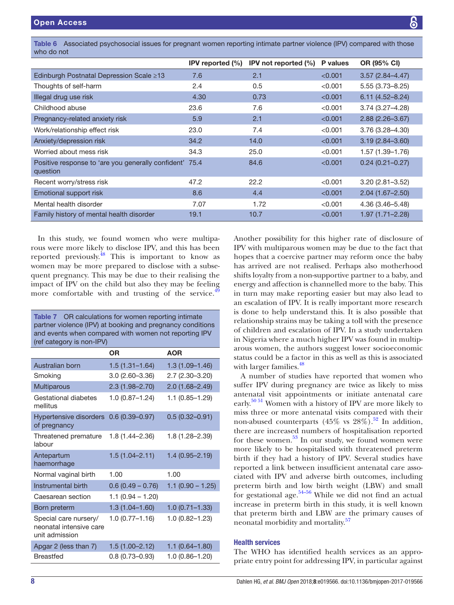<span id="page-7-0"></span>Table 6 Associated psychosocial issues for pregnant women reporting intimate partner violence (IPV) compared with those who do not

|                                                                     | IPV reported $(\% )$ | IPV not reported (%) | <b>P</b> values | OR (95% CI)         |
|---------------------------------------------------------------------|----------------------|----------------------|-----------------|---------------------|
| Edinburgh Postnatal Depression Scale ≥13                            | 7.6                  | 2.1                  | < 0.001         | $3.57(2.84 - 4.47)$ |
| Thoughts of self-harm                                               | 2.4                  | 0.5                  | < 0.001         | $5.55(3.73 - 8.25)$ |
| Illegal drug use risk                                               | 4.30                 | 0.73                 | < 0.001         | $6.11(4.52 - 8.24)$ |
| Childhood abuse                                                     | 23.6                 | 7.6                  | < 0.001         | $3.74(3.27 - 4.28)$ |
| Pregnancy-related anxiety risk                                      | 5.9                  | 2.1                  | < 0.001         | $2.88(2.26 - 3.67)$ |
| Work/relationship effect risk                                       | 23.0                 | 7.4                  | < 0.001         | $3.76(3.28 - 4.30)$ |
| Anxiety/depression risk                                             | 34.2                 | 14.0                 | < 0.001         | $3.19(2.84 - 3.60)$ |
| Worried about mess risk                                             | 34.3                 | 25.0                 | < 0.001         | 1.57 (1.39–1.76)    |
| Positive response to 'are you generally confident' 75.4<br>question |                      | 84.6                 | < 0.001         | $0.24(0.21 - 0.27)$ |
| Recent worry/stress risk                                            | 47.2                 | 22.2                 | < 0.001         | $3.20(2.81 - 3.52)$ |
| Emotional support risk                                              | 8.6                  | 4.4                  | < 0.001         | $2.04(1.67 - 2.50)$ |
| Mental health disorder                                              | 7.07                 | 1.72                 | < 0.001         | $4.36(3.46 - 5.48)$ |
| Family history of mental health disorder                            | 19.1                 | 10.7                 | < 0.001         | $1.97(1.71 - 2.28)$ |

In this study, we found women who were multiparous were more likely to disclose IPV, and this has been reported previously[.48](#page-10-2) This is important to know as women may be more prepared to disclose with a subsequent pregnancy. This may be due to their realising the impact of IPV on the child but also they may be feeling more comfortable with and trusting of the service.<sup>4</sup>

<span id="page-7-1"></span>

| <b>Table 7</b> OR calculations for women reporting intimate<br>partner violence (IPV) at booking and pregnancy conditions<br>and events when compared with women not reporting IPV |                    |                     |  |  |
|------------------------------------------------------------------------------------------------------------------------------------------------------------------------------------|--------------------|---------------------|--|--|
| (ref category is non-IPV)                                                                                                                                                          | 0R                 | <b>AOR</b>          |  |  |
|                                                                                                                                                                                    |                    |                     |  |  |
| Australian born                                                                                                                                                                    | $1.5(1.31 - 1.64)$ | $1.3(1.09 - 1.46)$  |  |  |
| Smoking                                                                                                                                                                            | 3.0 (2.60-3.36)    | 2.7 (2.30-3.20)     |  |  |
| Multiparous                                                                                                                                                                        | $2.3(1.98 - 2.70)$ | $2.0(1.68 - 2.49)$  |  |  |
| Gestational diabetes<br>mellitus                                                                                                                                                   | $1.0(0.87 - 1.24)$ | $1.1(0.85 - 1.29)$  |  |  |
| <b>Hypertensive disorders</b><br>of pregnancy                                                                                                                                      | $0.6(0.39 - 0.97)$ | $0.5(0.32 - 0.91)$  |  |  |
| Threatened premature<br>labour                                                                                                                                                     | 1.8 (1.44–2.36)    | 1.8 (1.28-2.39)     |  |  |
| Antepartum<br>haemorrhage                                                                                                                                                          | $1.5(1.04 - 2.11)$ | $1.4(0.95 - 2.19)$  |  |  |
| Normal vaginal birth                                                                                                                                                               | 1.00               | 1.00                |  |  |
| Instrumental birth                                                                                                                                                                 | $0.6(0.49 - 0.76)$ | $1.1 (0.90 - 1.25)$ |  |  |
| Caesarean section                                                                                                                                                                  | $1.1(0.94 - 1.20)$ |                     |  |  |
| Born preterm                                                                                                                                                                       | $1.3(1.04 - 1.60)$ | $1.0(0.71 - 1.33)$  |  |  |
| Special care nursery/<br>neonatal intensive care<br>unit admission                                                                                                                 | $1.0(0.77 - 1.16)$ | 1.0 (0.82-1.23)     |  |  |
| Apgar 2 (less than 7)                                                                                                                                                              | $1.5(1.00 - 2.12)$ | $1.1(0.64 - 1.80)$  |  |  |
| <b>Breastfed</b>                                                                                                                                                                   | $0.8(0.73 - 0.93)$ | 1.0 (0.86-1.20)     |  |  |

Another possibility for this higher rate of disclosure of IPV with multiparous women may be due to the fact that hopes that a coercive partner may reform once the baby has arrived are not realised. Perhaps also motherhood shifts loyalty from a non-supportive partner to a baby, and energy and affection is channelled more to the baby. This in turn may make reporting easier but may also lead to an escalation of IPV. It is really important more research is done to help understand this. It is also possible that relationship strains may be taking a toll with the presence of children and escalation of IPV. In a study undertaken in Nigeria where a much higher IPV was found in multiparous women, the authors suggest lower socioeconomic status could be a factor in this as well as this is associated with larger families.<sup>48</sup>

A number of studies have reported that women who suffer IPV during pregnancy are twice as likely to miss antenatal visit appointments or initiate antenatal care early.[50 51](#page-10-4) Women with a history of IPV are more likely to miss three or more antenatal visits compared with their non-abused counterparts (45% vs  $28\%$ ).<sup>52</sup> In addition, there are increased numbers of hospitalisation reported for these women. $53$  In our study, we found women were more likely to be hospitalised with threatened preterm birth if they had a history of IPV. Several studies have reported a link between insufficient antenatal care associated with IPV and adverse birth outcomes, including preterm birth and low birth weight (LBW) and small for gestational age. $54-56$  While we did not find an actual increase in preterm birth in this study, it is well known that preterm birth and LBW are the primary causes of neonatal morbidity and mortality.<sup>[57](#page-10-8)</sup>

## Health services

The WHO has identified health services as an appropriate entry point for addressing IPV, in particular against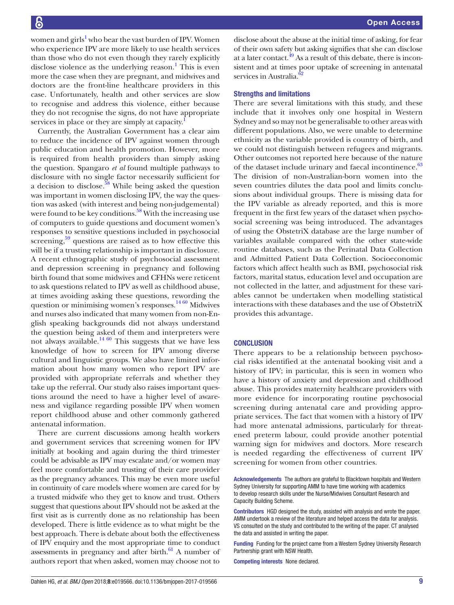women and girls<sup>[1](#page-9-0)</sup> who bear the vast burden of IPV. Women who experience IPV are more likely to use health services than those who do not even though they rarely explicitly disclose violence as the underlying reason.<sup>1</sup> This is even more the case when they are pregnant, and midwives and doctors are the front-line healthcare providers in this case. Unfortunately, health and other services are slow to recognise and address this violence, either because they do not recognise the signs, do not have appropriate services in place or they are simply at capacity.

Currently, the Australian Government has a clear aim to reduce the incidence of IPV against women through public education and health promotion. However, more is required from health providers than simply asking the question. Spangaro *et al* found multiple pathways to disclosure with no single factor necessarily sufficient for a decision to disclose. $58$  While being asked the question was important in women disclosing IPV, the way the question was asked (with interest and being non-judgemental) were found to be key conditions.<sup>[58](#page-10-9)</sup> With the increasing use of computers to guide questions and document women's responses to sensitive questions included in psychosocial screening, $59$  questions are raised as to how effective this will be if a trusting relationship is important in disclosure. A recent ethnographic study of psychosocial assessment and depression screening in pregnancy and following birth found that some midwives and CFHNs were reticent to ask questions related to IPV as well as childhood abuse, at times avoiding asking these questions, rewording the question or minimising women's responses.<sup>[14 60](#page-9-12)</sup> Midwives and nurses also indicated that many women from non-English speaking backgrounds did not always understand the question being asked of them and interpreters were not always available.<sup>14 60</sup> This suggests that we have less knowledge of how to screen for IPV among diverse cultural and linguistic groups. We also have limited information about how many women who report IPV are provided with appropriate referrals and whether they take up the referral. Our study also raises important questions around the need to have a higher level of awareness and vigilance regarding possible IPV when women report childhood abuse and other commonly gathered antenatal information.

There are current discussions among health workers and government services that screening women for IPV initially at booking and again during the third trimester could be advisable as IPV may escalate and/or women may feel more comfortable and trusting of their care provider as the pregnancy advances. This may be even more useful in continuity of care models where women are cared for by a trusted midwife who they get to know and trust. Others suggest that questions about IPV should not be asked at the first visit as is currently done as no relationship has been developed. There is little evidence as to what might be the best approach. There is debate about both the effectiveness of IPV enquiry and the most appropriate time to conduct assessments in pregnancy and after birth. $61$  A number of authors report that when asked, women may choose not to

disclose about the abuse at the initial time of asking, for fear of their own safety but asking signifies that she can disclose at a later contact. $^{49}$  As a result of this debate, there is inconsistent and at times poor uptake of screening in antenatal services in Australia.

#### Strengths and limitations

There are several limitations with this study, and these include that it involves only one hospital in Western Sydney and so may not be generalisable to other areas with different populations. Also, we were unable to determine ethnicity as the variable provided is country of birth, and we could not distinguish between refugees and migrants. Other outcomes not reported here because of the nature of the dataset include urinary and faecal incontinence.<sup>[63](#page-10-13)</sup> The division of non-Australian-born women into the seven countries dilutes the data pool and limits conclusions about individual groups. There is missing data for the IPV variable as already reported, and this is more frequent in the first few years of the dataset when psychosocial screening was being introduced. The advantages of using the ObstetriX database are the large number of variables available compared with the other state-wide routine databases, such as the Perinatal Data Collection and Admitted Patient Data Collection. Socioeconomic factors which affect health such as BMI, psychosocial risk factors, marital status, education level and occupation are not collected in the latter, and adjustment for these variables cannot be undertaken when modelling statistical interactions with these databases and the use of ObstetriX provides this advantage.

#### **CONCLUSION**

There appears to be a relationship between psychosocial risks identified at the antenatal booking visit and a history of IPV; in particular, this is seen in women who have a history of anxiety and depression and childhood abuse. This provides maternity healthcare providers with more evidence for incorporating routine psychosocial screening during antenatal care and providing appropriate services. The fact that women with a history of IPV had more antenatal admissions, particularly for threatened preterm labour, could provide another potential warning sign for midwives and doctors. More research is needed regarding the effectiveness of current IPV screening for women from other countries.

Acknowledgements The authors are grateful to Blacktown hospitals and Western Sydney University for supporting AMM to have time working with academics to develop research skills under the Nurse/Midwives Consultant Research and Capacity Building Scheme.

Contributors HGD designed the study, assisted with analysis and wrote the paper. AMM undertook a review of the literature and helped access the data for analysis. VS consulted on the study and contributed to the writing of the paper. CT analysed the data and assisted in writing the paper.

Funding Funding for the project came from a Western Sydney University Research Partnership grant with NSW Health.

Competing interests None declared.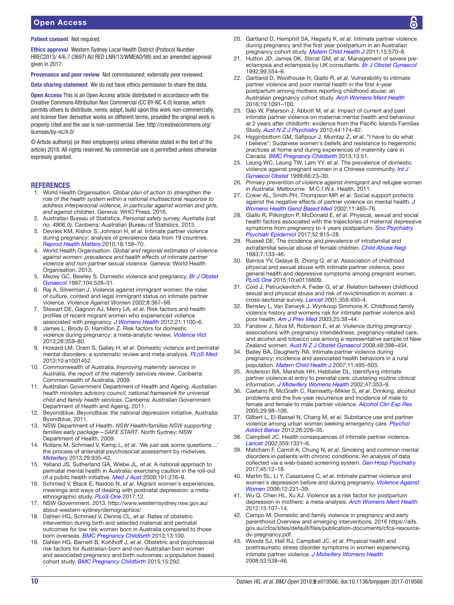# Open Access

#### Patient consent Not required.

Ethics approval Western Sydney Local Health District (Protocol Number HREC2013/ 4/6.7 (3697) AU RED LNR/13/WMEAD/98) and an amended approval given in 2017.

Provenance and peer review Not commissioned; externally peer reviewed.

Data sharing statement We do not have ethics permission to share the data.

Open Access This is an Open Access article distributed in accordance with the Creative Commons Attribution Non Commercial (CC BY-NC 4.0) license, which permits others to distribute, remix, adapt, build upon this work non-commercially, and license their derivative works on different terms, provided the original work is properly cited and the use is non-commercial. See: [http://creativecommons.org/](http://creativecommons.org/licenses/by-nc/4.0/) [licenses/by-nc/4.0/](http://creativecommons.org/licenses/by-nc/4.0/)

© Article author(s) (or their employer(s) unless otherwise stated in the text of the article) 2018. All rights reserved. No commercial use is permitted unless otherwise expressly granted.

#### **REFERENCES**

- <span id="page-9-0"></span>1. World Health Organisation. *Global plan of action to strengthen the role of the health system within a national multisectoral response to address interpersonal violence, in particular against women and girls, and against children*. Geneva: WHO Press, 2016.
- <span id="page-9-1"></span>2. Australian Bureau of Statistics. *Personal safety survey, Australia (cat. no. 4906.0)*. Canberra: Australian Bureau of Statistics, 2013.
- <span id="page-9-2"></span>3. Devries KM, Kishor S, Johnson H, *et al*. Intimate partner violence during pregnancy: analysis of prevalence data from 19 countries. *[Reprod Health Matters](http://dx.doi.org/10.1016/S0968-8080(10)36533-5)* 2010;18:158–70.
- <span id="page-9-3"></span>4. World Health Organisation. *Global and regional estimates of violence against women: prevalence and health effects of intimate partner violence and non-partner sexual violence*. Geneva: World Health Organisation, 2013.
- <span id="page-9-4"></span>5. Mezey GC, Bewley S. Domestic violence and pregnancy. *[Br J Obstet](http://dx.doi.org/10.1111/j.1471-0528.1997.tb11526.x)  [Gynaecol](http://dx.doi.org/10.1111/j.1471-0528.1997.tb11526.x)* 1997;104:528–31.
- <span id="page-9-5"></span>6. Raj A, Silverman J. Violence against immigrant women: the roles of culture, context and legal immigrant status on intimate partner violence. *Violence Against Women* 2002;8:367–98.
- <span id="page-9-6"></span>7. Stewart DE, Gagnon AJ, Merry LA, *et al*. Risk factors and health profiles of recent migrant women who experienced violence associated with pregnancy. *[J Womens Health](http://dx.doi.org/10.1089/jwh.2011.3415)* 2012;21:1100–6.
- <span id="page-9-7"></span>8. James L, Brody D, Hamilton Z. Risk factors for domestic violence during pregnancy: a meta-analytic review. *[Violence Vict](http://dx.doi.org/10.1891/0886-6708.VV-D-12-00034)* 2013;28:359–80.
- <span id="page-9-8"></span>9. Howard LM, Oram S, Galley H, *et al*. Domestic violence and perinatal mental disorders: a systematic review and meta-analysis. *[PLoS Med](http://dx.doi.org/10.1371/journal.pmed.1001452)* 2013;10:e1001452.
- <span id="page-9-9"></span>10. Commonwealth of Australia. *Improving maternity services in Australia, the report of the maternity services review*. Canberra: Commonwealth of Australia, 2009.
- 11. Australian Government Department of Health and Ageing. *Australian health ministers advisory council, national framework for universal child and family health services*. Canberra: Australian Government Department of Health and Ageing, 2011.
- <span id="page-9-10"></span>12. Beyondblue. *Beyondblue: the national depression initiative*. Australia: Byondblue, 2011.
- <span id="page-9-11"></span>13. NSW Department of Health. *NSW Health/families NSW supporting families early package—SAFE START*. North Sydney: NSW Department of Health, 2009.
- <span id="page-9-12"></span>14. Rollans M, Schmied V, Kemp L, *et al*. 'We just ask some questions…' the process of antenatal psychosocial assessment by midwives. *[Midwifery](http://dx.doi.org/10.1016/j.midw.2012.11.013)* 2013;29:935–42.
- 15. Yelland JS, Sutherland GA, Wiebe JL, *et al*. A national approach to perinatal mental health in Australia: exercising caution in the roll-out of a public health initiative. *[Med J Aust](http://www.ncbi.nlm.nih.gov/pubmed/19740052)* 2009;191:276–9.
- <span id="page-9-13"></span>16. Schmied V, Black E, Naidoo N, *et al*. Migrant women's experiences, meanings and ways of dealing with postnatal depression: a metaethnographic study. *[PLoS One](http://dx.doi.org/10.1371/journal.pone.0172385)* 2017;12.
- <span id="page-9-14"></span>17. NSW Government. 2013. [http://www.westernsydney.nsw.gov.au/](http://www.westernsydney.nsw.gov.au/about-western-sydney/demographics/) [about-western-sydney/demographics/](http://www.westernsydney.nsw.gov.au/about-western-sydney/demographics/)
- <span id="page-9-15"></span>18. Dahlen HG, Schmied V, Dennis CL, *et al*. Rates of obstetric intervention during birth and selected maternal and perinatal outcomes for low risk women born in Australia compared to those born overseas. *[BMC Pregnancy Childbirth](http://dx.doi.org/10.1186/1471-2393-13-100)* 2013;13:100.
- 19. Dahlen HG, Barnett B, Kohlhoff J, *et al*. Obstetric and psychosocial risk factors for Australian-born and non-Australian born women and associated pregnancy and birth outcomes: a population based cohort study. *[BMC Pregnancy Childbirth](http://dx.doi.org/10.1186/s12884-015-0681-2)* 2015;15:292.
- <span id="page-9-16"></span>20. Gartland D, Hemphill SA, Hegarty K, *et al*. Intimate partner violence during pregnancy and the first year postpartum in an Australian pregnancy cohort study. *[Matern Child Health J](http://dx.doi.org/10.1007/s10995-010-0638-z)* 2011;15:570–8.
- <span id="page-9-17"></span>21. Hutton JD, James DK, Stirrat GM, *et al*. Management of severe preeclampsia and eclampsia by UK consultants. *[Br J Obstet Gynaecol](http://dx.doi.org/10.1111/j.1471-0528.1992.tb13819.x)* 1992;99:554–6.
- <span id="page-9-18"></span>22. Gartland D, Woolhouse H, Giallo R, *et al*. Vulnerability to intimate partner violence and poor mental health in the first 4-year postpartum among mothers reporting childhood abuse: an Australian pregnancy cohort study. *[Arch Womens Ment Health](http://dx.doi.org/10.1007/s00737-016-0659-8)* 2016;19:1091–100.
- <span id="page-9-19"></span>23. Gao W, Paterson J, Abbott M, *et al*. Impact of current and past intimate partner violence on maternal mental health and behaviour at 2 years after childbirth: evidence from the Pacific Islands Families Study. *[Aust N Z J Psychiatry](http://dx.doi.org/10.3109/00048670903487126)* 2010;44:174–82.
- <span id="page-9-20"></span>Higginbottom GM, Safipour J, Mumtaz Z, et al. "I have to do what I believe": Sudanese women's beliefs and resistance to hegemonic practices at home and during experiences of maternity care in Canada. *[BMC Pregnancy Childbirth](http://dx.doi.org/10.1186/1471-2393-13-51)* 2013;13:51.
- <span id="page-9-21"></span>25. Leung WC, Leung TW, Lam YY, *et al*. The prevalence of domestic violence against pregnant women in a Chinese community. *[Int J](http://dx.doi.org/10.1016/S0020-7292(99)00053-3)  [Gynaecol Obstet](http://dx.doi.org/10.1016/S0020-7292(99)00053-3)* 1999;66:23–30.
- <span id="page-9-22"></span>26. *Primary prevention of violence against immigrant and refugee women in Australia*. Melbourne: M.C.f.W.s. Health, 2011.
- <span id="page-9-23"></span>27. Coker AL, Smith PH, Thompson MP, *et al*. Social support protects against the negative effects of partner violence on mental health. *[J](http://dx.doi.org/10.1089/15246090260137644)  [Womens Health Gend Based Med](http://dx.doi.org/10.1089/15246090260137644)* 2002;11:465–76.
- <span id="page-9-25"></span>28. Giallo R, Pilkington P, McDonald E, *et al*. Physical, sexual and social health factors associated with the trajectories of maternal depressive symptoms from pregnancy to 4 years postpartum. *[Soc Psychiatry](http://dx.doi.org/10.1007/s00127-017-1387-8)  [Psychiatr Epidemiol](http://dx.doi.org/10.1007/s00127-017-1387-8)* 2017;52:815–28.
- <span id="page-9-24"></span>29. Russell DE. The incidence and prevalence of intrafamilial and extrafamilial sexual abuse of female children. *[Child Abuse Negl](http://dx.doi.org/10.1016/0145-2134(83)90065-0)* 1983;7:133–46.
- 30. Barrios YV, Gelaye B, Zhong Q, *et al*. Association of childhood physical and sexual abuse with intimate partner violence, poor general health and depressive symptoms among pregnant women. *[PLoS One](http://dx.doi.org/10.1371/journal.pone.0116609)* 2015;10:e0116609.
- 31. Coid J, Petruckevitch A, Feder G, *et al*. Relation between childhood sexual and physical abuse and risk of revictimisation in women: a cross-sectional survey. *[Lancet](http://dx.doi.org/10.1016/S0140-6736(01)05622-7)* 2001;358:450–4.
- 32. Bensley L, Van Eenwyk J, Wynkoop Simmons K. Childhood family violence history and womens risk for intimate partner violence and poor health. *[Am J Prev Med](http://dx.doi.org/10.1016/S0749-3797(03)00094-1)* 2003;25:38–44.
- <span id="page-9-26"></span>33. Fanslow J, Silva M, Robinson E, *et al*. Violence during pregnancy: associations with pregnancy intendedness, pregnancy-related care, and alcohol and tobacco use among a representative sample of New Zealand women. *[Aust N Z J Obstet Gynaecol](http://dx.doi.org/10.1111/j.1479-828X.2008.00890.x)* 2008;48:398–404.
- 34. Bailey BA, Daugherty RA. Intimate partner violence during pregnancy: incidence and associated health behaviors in a rural population. *[Matern Child Health J](http://dx.doi.org/10.1007/s10995-007-0191-6)* 2007;11:495–503.
- 35. Anderson BA, Marshak HH, Hebbeler DL. Identifying intimate partner violence at entry to prenatal care: clustering routine clinical information. *[J Midwifery Womens Health](http://dx.doi.org/10.1016/S1526-9523(02)00273-8)* 2002;47:353–9.
- <span id="page-9-27"></span>36. Caetano R, McGrath C, Ramisetty-Mikler S, *et al*. Drinking, alcohol problems and the five-year recurrence and incidence of male to female and female to male partner violence. *[Alcohol Clin Exp Res](http://dx.doi.org/10.1097/01.ALC.0000150015.84381.63)* 2005;29:98–106.
- 37. Gilbert L, El-Bassel N, Chang M, *et al*. Substance use and partner violence among urban women seeking emergency care. *[Psychol](http://dx.doi.org/10.1037/a0025869)  [Addict Behav](http://dx.doi.org/10.1037/a0025869)* 2012;26:226–35.
- 38. Campbell JC. Health consequences of intimate partner violence. *[Lancet](http://dx.doi.org/10.1016/S0140-6736(02)08336-8)* 2002;359:1331–6.
- <span id="page-9-28"></span>39. Matcham F, Carroll A, Chung N, *et al*. Smoking and common mental disorders in patients with chronic conditions: An analysis of data collected via a web-based screening system. *[Gen Hosp Psychiatry](http://dx.doi.org/10.1016/j.genhosppsych.2016.11.006)* 2017;45:12–18.
- <span id="page-9-29"></span>40. Martin SL, Li Y, Casanueva C, *et al*. Intimate partner violence and women's depression before and during pregnancy. *[Violence Against](http://dx.doi.org/10.1177/1077801205285106)  [Women](http://dx.doi.org/10.1177/1077801205285106)* 2006;12:221–39.
- 41. Wu Q, Chen HL, Xu XJ. Violence as a risk factor for postpartum depression in mothers: a meta-analysis. *[Arch Womens Ment Health](http://dx.doi.org/10.1007/s00737-011-0248-9)* 2012;15:107–14.
- 42. Campo M. Domestic and family violence in pregnancy and early parenthood Overview and emerging interventions. 2016 [https://aifs.](https://aifs.gov.au/cfca/sites/default/files/publication-documents/cfca-resource-dv-pregnancy.pdf) [gov.au/cfca/sites/default/files/publication-documents/cfca-resource](https://aifs.gov.au/cfca/sites/default/files/publication-documents/cfca-resource-dv-pregnancy.pdf)[dv-pregnancy.pdf.](https://aifs.gov.au/cfca/sites/default/files/publication-documents/cfca-resource-dv-pregnancy.pdf)
- <span id="page-9-30"></span>43. Woods SJ, Hall RJ, Campbell JC, *et al*. Physical health and posttraumatic stress disorder symptoms in women experiencing intimate partner violence. *[J Midwifery Womens Health](http://dx.doi.org/10.1016/j.jmwh.2008.07.004)* 2008;53:538–46.